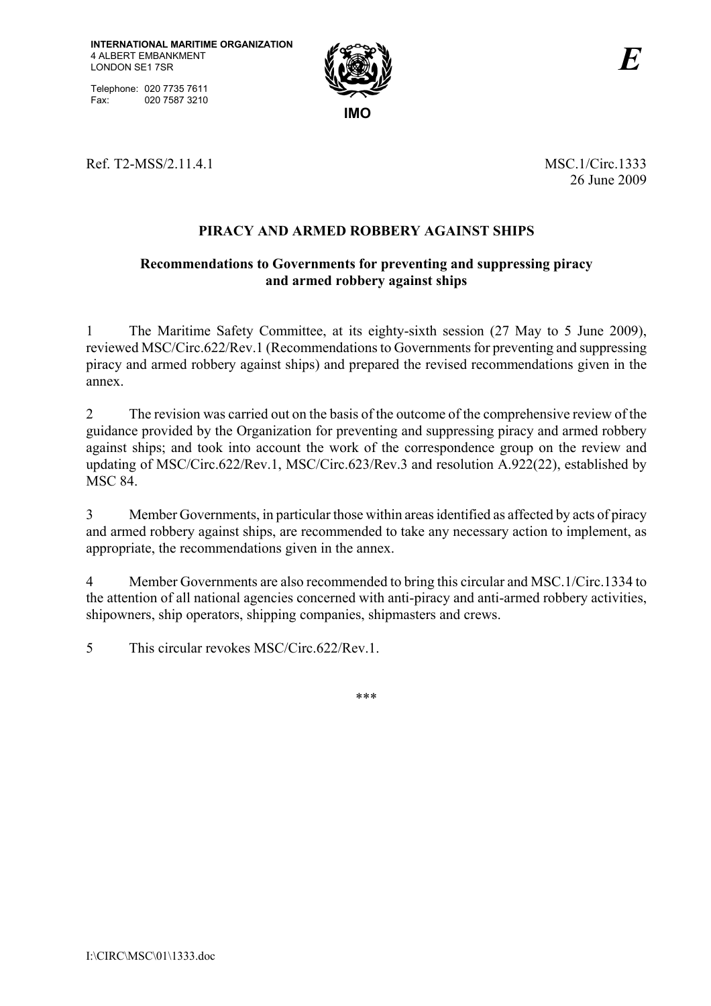Telephone: 020 7735 7611 Fax: 020 7587 3210



Ref. T2-MSS/2.11.4.1 MSC.1/Circ.1333

26 June 2009

# **PIRACY AND ARMED ROBBERY AGAINST SHIPS**

## **Recommendations to Governments for preventing and suppressing piracy and armed robbery against ships**

1 The Maritime Safety Committee, at its eighty-sixth session (27 May to 5 June 2009), reviewed MSC/Circ.622/Rev.1 (Recommendations to Governments for preventing and suppressing piracy and armed robbery against ships) and prepared the revised recommendations given in the annex.

2 The revision was carried out on the basis of the outcome of the comprehensive review of the guidance provided by the Organization for preventing and suppressing piracy and armed robbery against ships; and took into account the work of the correspondence group on the review and updating of MSC/Circ.622/Rev.1, MSC/Circ.623/Rev.3 and resolution A.922(22), established by MSC 84.

3 Member Governments, in particular those within areas identified as affected by acts of piracy and armed robbery against ships, are recommended to take any necessary action to implement, as appropriate, the recommendations given in the annex.

4 Member Governments are also recommended to bring this circular and MSC.1/Circ.1334 to the attention of all national agencies concerned with anti-piracy and anti-armed robbery activities, shipowners, ship operators, shipping companies, shipmasters and crews.

5 This circular revokes MSC/Circ.622/Rev.1.

\*\*\*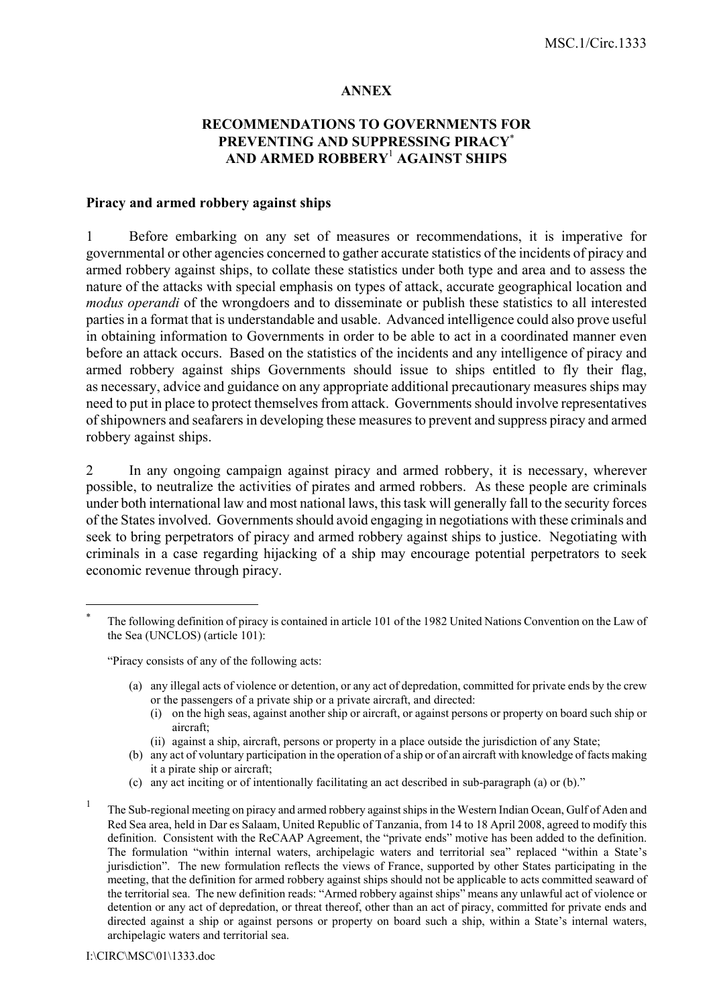#### **ANNEX**

## **RECOMMENDATIONS TO GOVERNMENTS FOR PREVENTING AND SUPPRESSING PIRACY**<sup>∗</sup> **AND ARMED ROBBERY**<sup>1</sup>  **AGAINST SHIPS**

### **Piracy and armed robbery against ships**

1 Before embarking on any set of measures or recommendations, it is imperative for governmental or other agencies concerned to gather accurate statistics of the incidents of piracy and armed robbery against ships, to collate these statistics under both type and area and to assess the nature of the attacks with special emphasis on types of attack, accurate geographical location and *modus operandi* of the wrongdoers and to disseminate or publish these statistics to all interested parties in a format that is understandable and usable. Advanced intelligence could also prove useful in obtaining information to Governments in order to be able to act in a coordinated manner even before an attack occurs. Based on the statistics of the incidents and any intelligence of piracy and armed robbery against ships Governments should issue to ships entitled to fly their flag, as necessary, advice and guidance on any appropriate additional precautionary measures ships may need to put in place to protect themselves from attack. Governments should involve representatives of shipowners and seafarers in developing these measures to prevent and suppress piracy and armed robbery against ships.

2 In any ongoing campaign against piracy and armed robbery, it is necessary, wherever possible, to neutralize the activities of pirates and armed robbers. As these people are criminals under both international law and most national laws, this task will generally fall to the security forces of the States involved. Governments should avoid engaging in negotiations with these criminals and seek to bring perpetrators of piracy and armed robbery against ships to justice. Negotiating with criminals in a case regarding hijacking of a ship may encourage potential perpetrators to seek economic revenue through piracy.

ìPiracy consists of any of the following acts:

- (a) any illegal acts of violence or detention, or any act of depredation, committed for private ends by the crew or the passengers of a private ship or a private aircraft, and directed:
	- (i) on the high seas, against another ship or aircraft, or against persons or property on board such ship or aircraft;
	- (ii) against a ship, aircraft, persons or property in a place outside the jurisdiction of any State;
- (b) any act of voluntary participation in the operation of a ship or of an aircraft with knowledge of facts making it a pirate ship or aircraft;
- (c) any act inciting or of intentionally facilitating an act described in sub-paragraph (a) or (b).<sup> $n$ </sup>
- 1 The Sub-regional meeting on piracy and armed robbery against ships in the Western Indian Ocean, Gulf of Aden and Red Sea area, held in Dar es Salaam, United Republic of Tanzania, from 14 to 18 April 2008, agreed to modify this definition. Consistent with the ReCAAP Agreement, the "private ends" motive has been added to the definition. The formulation "within internal waters, archipelagic waters and territorial sea" replaced "within a State's jurisdictionî. The new formulation reflects the views of France, supported by other States participating in the meeting, that the definition for armed robbery against ships should not be applicable to acts committed seaward of the territorial sea. The new definition reads: "Armed robbery against ships" means any unlawful act of violence or detention or any act of depredation, or threat thereof, other than an act of piracy, committed for private ends and directed against a ship or against persons or property on board such a ship, within a State's internal waters, archipelagic waters and territorial sea.

 $\overline{a}$ 

The following definition of piracy is contained in article 101 of the 1982 United Nations Convention on the Law of the Sea (UNCLOS) (article 101):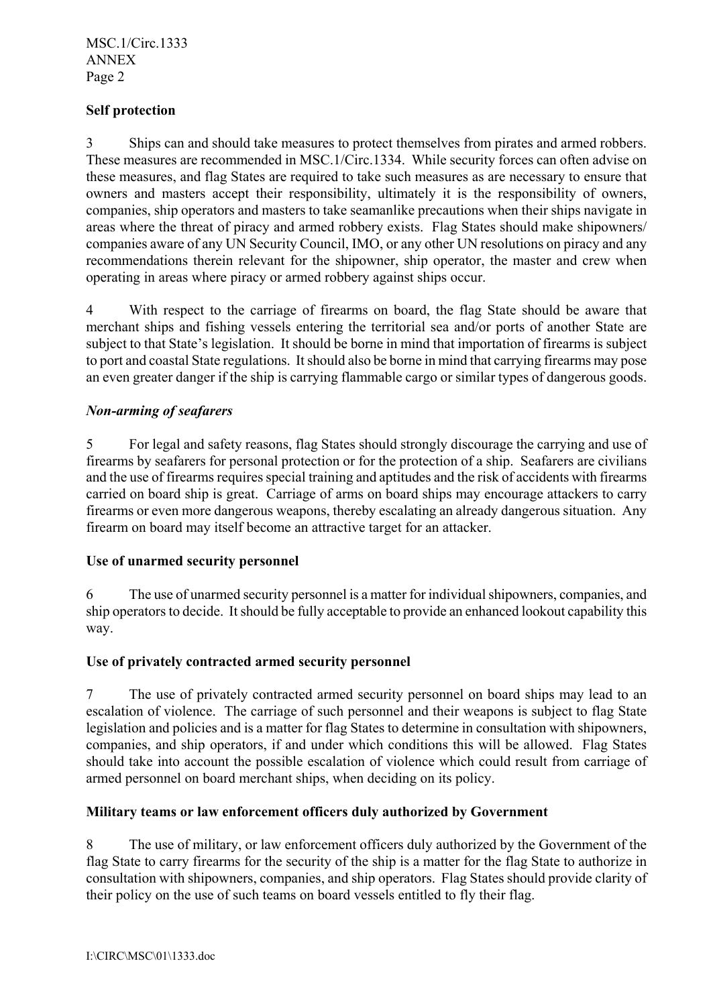## **Self protection**

3 Ships can and should take measures to protect themselves from pirates and armed robbers. These measures are recommended in MSC.1/Circ.1334. While security forces can often advise on these measures, and flag States are required to take such measures as are necessary to ensure that owners and masters accept their responsibility, ultimately it is the responsibility of owners, companies, ship operators and masters to take seamanlike precautions when their ships navigate in areas where the threat of piracy and armed robbery exists. Flag States should make shipowners/ companies aware of any UN Security Council, IMO, or any other UN resolutions on piracy and any recommendations therein relevant for the shipowner, ship operator, the master and crew when operating in areas where piracy or armed robbery against ships occur.

4 With respect to the carriage of firearms on board, the flag State should be aware that merchant ships and fishing vessels entering the territorial sea and/or ports of another State are subject to that State's legislation. It should be borne in mind that importation of firearms is subject to port and coastal State regulations. It should also be borne in mind that carrying firearms may pose an even greater danger if the ship is carrying flammable cargo or similar types of dangerous goods.

## *Non-arming of seafarers*

5 For legal and safety reasons, flag States should strongly discourage the carrying and use of firearms by seafarers for personal protection or for the protection of a ship. Seafarers are civilians and the use of firearms requires special training and aptitudes and the risk of accidents with firearms carried on board ship is great. Carriage of arms on board ships may encourage attackers to carry firearms or even more dangerous weapons, thereby escalating an already dangerous situation. Any firearm on board may itself become an attractive target for an attacker.

#### **Use of unarmed security personnel**

6 The use of unarmed security personnel is a matter for individual shipowners, companies, and ship operators to decide. It should be fully acceptable to provide an enhanced lookout capability this way.

#### **Use of privately contracted armed security personnel**

7 The use of privately contracted armed security personnel on board ships may lead to an escalation of violence. The carriage of such personnel and their weapons is subject to flag State legislation and policies and is a matter for flag States to determine in consultation with shipowners, companies, and ship operators, if and under which conditions this will be allowed. Flag States should take into account the possible escalation of violence which could result from carriage of armed personnel on board merchant ships, when deciding on its policy.

## **Military teams or law enforcement officers duly authorized by Government**

8 The use of military, or law enforcement officers duly authorized by the Government of the flag State to carry firearms for the security of the ship is a matter for the flag State to authorize in consultation with shipowners, companies, and ship operators. Flag States should provide clarity of their policy on the use of such teams on board vessels entitled to fly their flag.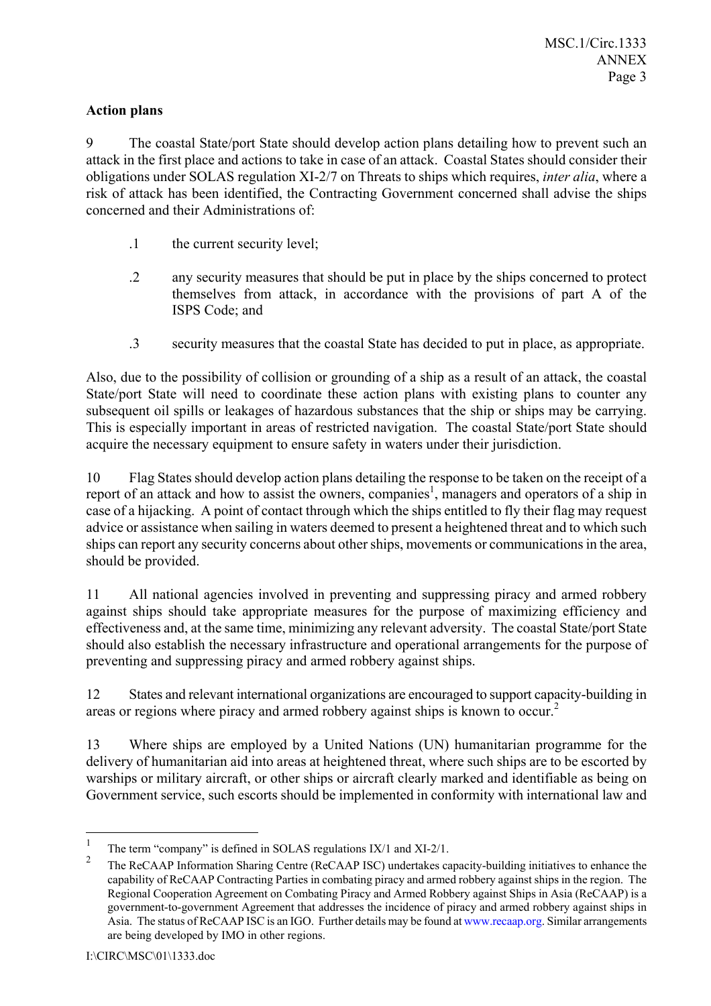## **Action plans**

9 The coastal State/port State should develop action plans detailing how to prevent such an attack in the first place and actions to take in case of an attack. Coastal States should consider their obligations under SOLAS regulation XI-2/7 on Threats to ships which requires, *inter alia*, where a risk of attack has been identified, the Contracting Government concerned shall advise the ships concerned and their Administrations of:

- .1 the current security level;
- .2 any security measures that should be put in place by the ships concerned to protect themselves from attack, in accordance with the provisions of part A of the ISPS Code; and
- .3 security measures that the coastal State has decided to put in place, as appropriate.

Also, due to the possibility of collision or grounding of a ship as a result of an attack, the coastal State/port State will need to coordinate these action plans with existing plans to counter any subsequent oil spills or leakages of hazardous substances that the ship or ships may be carrying. This is especially important in areas of restricted navigation. The coastal State/port State should acquire the necessary equipment to ensure safety in waters under their jurisdiction.

10 Flag States should develop action plans detailing the response to be taken on the receipt of a report of an attack and how to assist the owners, companies<sup>1</sup>, managers and operators of a ship in case of a hijacking. A point of contact through which the ships entitled to fly their flag may request advice or assistance when sailing in waters deemed to present a heightened threat and to which such ships can report any security concerns about other ships, movements or communications in the area, should be provided.

11 All national agencies involved in preventing and suppressing piracy and armed robbery against ships should take appropriate measures for the purpose of maximizing efficiency and effectiveness and, at the same time, minimizing any relevant adversity. The coastal State/port State should also establish the necessary infrastructure and operational arrangements for the purpose of preventing and suppressing piracy and armed robbery against ships.

12 States and relevant international organizations are encouraged to support capacity-building in areas or regions where piracy and armed robbery against ships is known to occur.<sup>2</sup>

13 Where ships are employed by a United Nations (UN) humanitarian programme for the delivery of humanitarian aid into areas at heightened threat, where such ships are to be escorted by warships or military aircraft, or other ships or aircraft clearly marked and identifiable as being on Government service, such escorts should be implemented in conformity with international law and

 $\frac{1}{1}$ The term "company" is defined in SOLAS regulations IX/1 and XI-2/1.

<sup>2</sup> The ReCAAP Information Sharing Centre (ReCAAP ISC) undertakes capacity-building initiatives to enhance the capability of ReCAAP Contracting Parties in combating piracy and armed robbery against ships in the region. The Regional Cooperation Agreement on Combating Piracy and Armed Robbery against Ships in Asia (ReCAAP) is a government-to-government Agreement that addresses the incidence of piracy and armed robbery against ships in Asia. The status of ReCAAP ISC is an IGO. Further details may be found at www.recaap.org. Similar arrangements are being developed by IMO in other regions.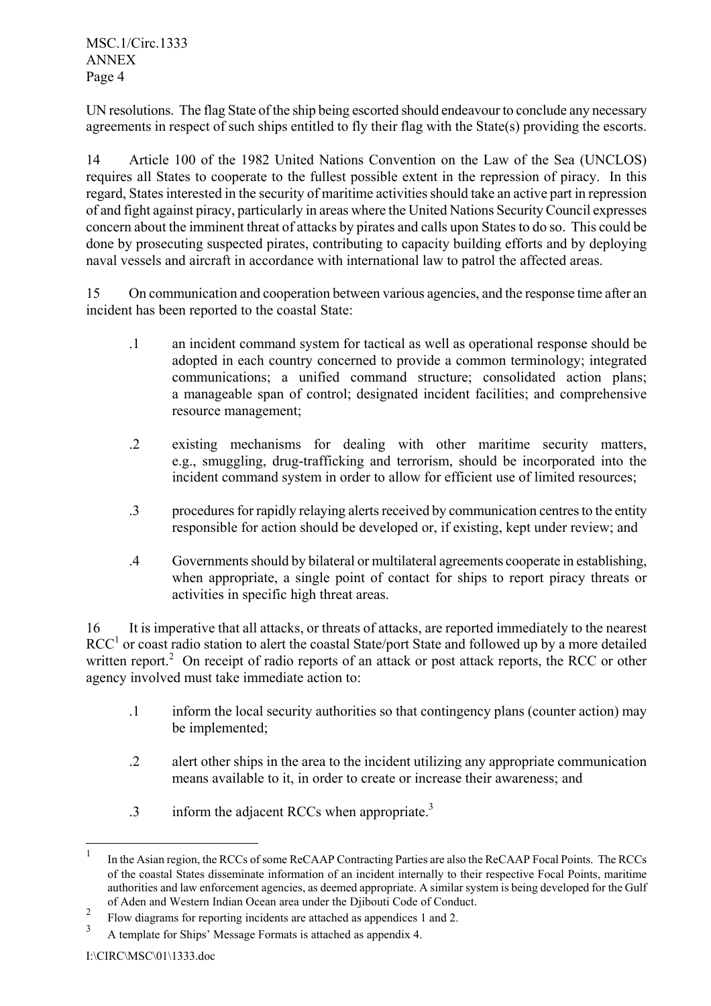UN resolutions. The flag State of the ship being escorted should endeavour to conclude any necessary agreements in respect of such ships entitled to fly their flag with the State(s) providing the escorts.

14 Article 100 of the 1982 United Nations Convention on the Law of the Sea (UNCLOS) requires all States to cooperate to the fullest possible extent in the repression of piracy. In this regard, States interested in the security of maritime activities should take an active part in repression of and fight against piracy, particularly in areas where the United Nations Security Council expresses concern about the imminent threat of attacks by pirates and calls upon States to do so. This could be done by prosecuting suspected pirates, contributing to capacity building efforts and by deploying naval vessels and aircraft in accordance with international law to patrol the affected areas.

15 On communication and cooperation between various agencies, and the response time after an incident has been reported to the coastal State:

- .1 an incident command system for tactical as well as operational response should be adopted in each country concerned to provide a common terminology; integrated communications; a unified command structure; consolidated action plans; a manageable span of control; designated incident facilities; and comprehensive resource management;
- .2 existing mechanisms for dealing with other maritime security matters, e.g., smuggling, drug-trafficking and terrorism, should be incorporated into the incident command system in order to allow for efficient use of limited resources;
- .3 procedures for rapidly relaying alerts received by communication centres to the entity responsible for action should be developed or, if existing, kept under review; and
- .4 Governments should by bilateral or multilateral agreements cooperate in establishing, when appropriate, a single point of contact for ships to report piracy threats or activities in specific high threat areas.

16 It is imperative that all attacks, or threats of attacks, are reported immediately to the nearest  $RCC<sup>1</sup>$  or coast radio station to alert the coastal State/port State and followed up by a more detailed written report.<sup>2</sup> On receipt of radio reports of an attack or post attack reports, the RCC or other agency involved must take immediate action to:

- .1 inform the local security authorities so that contingency plans (counter action) may be implemented;
- .2 alert other ships in the area to the incident utilizing any appropriate communication means available to it, in order to create or increase their awareness; and
- .3 inform the adjacent RCCs when appropriate.3

 $\mathbf{1}$ In the Asian region, the RCCs of some ReCAAP Contracting Parties are also the ReCAAP Focal Points. The RCCs of the coastal States disseminate information of an incident internally to their respective Focal Points, maritime authorities and law enforcement agencies, as deemed appropriate. A similar system is being developed for the Gulf of Aden and Western Indian Ocean area under the Djibouti Code of Conduct.

<sup>2</sup> Flow diagrams for reporting incidents are attached as appendices 1 and 2.

<sup>3</sup> A template for Ships' Message Formats is attached as appendix 4.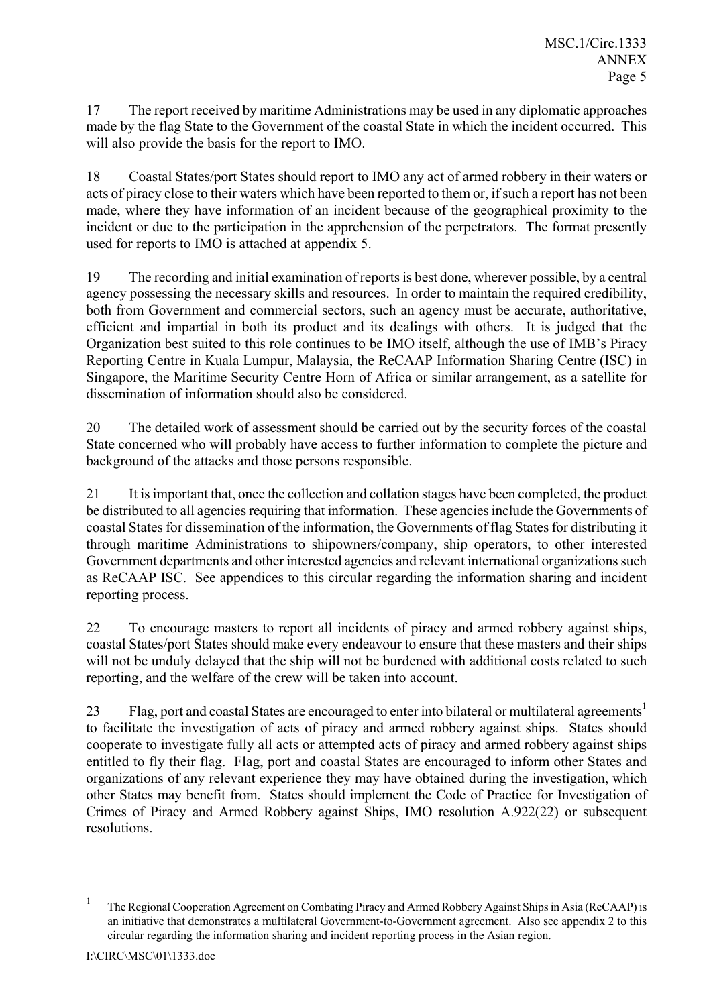17 The report received by maritime Administrations may be used in any diplomatic approaches made by the flag State to the Government of the coastal State in which the incident occurred. This will also provide the basis for the report to IMO.

18 Coastal States/port States should report to IMO any act of armed robbery in their waters or acts of piracy close to their waters which have been reported to them or, if such a report has not been made, where they have information of an incident because of the geographical proximity to the incident or due to the participation in the apprehension of the perpetrators. The format presently used for reports to IMO is attached at appendix 5.

19 The recording and initial examination of reports is best done, wherever possible, by a central agency possessing the necessary skills and resources. In order to maintain the required credibility, both from Government and commercial sectors, such an agency must be accurate, authoritative, efficient and impartial in both its product and its dealings with others. It is judged that the Organization best suited to this role continues to be IMO itself, although the use of IMB's Piracy Reporting Centre in Kuala Lumpur, Malaysia, the ReCAAP Information Sharing Centre (ISC) in Singapore, the Maritime Security Centre Horn of Africa or similar arrangement, as a satellite for dissemination of information should also be considered.

20 The detailed work of assessment should be carried out by the security forces of the coastal State concerned who will probably have access to further information to complete the picture and background of the attacks and those persons responsible.

21 It is important that, once the collection and collation stages have been completed, the product be distributed to all agencies requiring that information. These agencies include the Governments of coastal States for dissemination of the information, the Governments of flag States for distributing it through maritime Administrations to shipowners/company, ship operators, to other interested Government departments and other interested agencies and relevant international organizations such as ReCAAP ISC. See appendices to this circular regarding the information sharing and incident reporting process.

22 To encourage masters to report all incidents of piracy and armed robbery against ships, coastal States/port States should make every endeavour to ensure that these masters and their ships will not be unduly delayed that the ship will not be burdened with additional costs related to such reporting, and the welfare of the crew will be taken into account.

23 Flag, port and coastal States are encouraged to enter into bilateral or multilateral agreements<sup>1</sup> to facilitate the investigation of acts of piracy and armed robbery against ships. States should cooperate to investigate fully all acts or attempted acts of piracy and armed robbery against ships entitled to fly their flag. Flag, port and coastal States are encouraged to inform other States and organizations of any relevant experience they may have obtained during the investigation, which other States may benefit from. States should implement the Code of Practice for Investigation of Crimes of Piracy and Armed Robbery against Ships, IMO resolution A.922(22) or subsequent resolutions.

 $\mathbf{1}$ <sup>1</sup> The Regional Cooperation Agreement on Combating Piracy and Armed Robbery Against Ships in Asia (ReCAAP) is an initiative that demonstrates a multilateral Government-to-Government agreement. Also see appendix 2 to this circular regarding the information sharing and incident reporting process in the Asian region.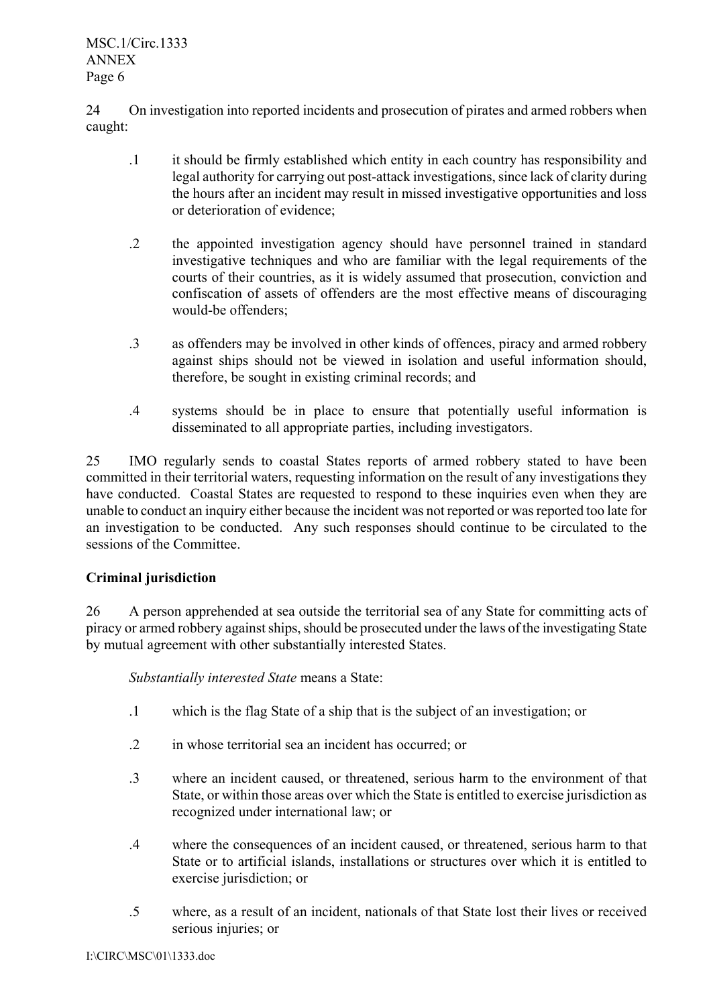24 On investigation into reported incidents and prosecution of pirates and armed robbers when caught:

- .1 it should be firmly established which entity in each country has responsibility and legal authority for carrying out post-attack investigations, since lack of clarity during the hours after an incident may result in missed investigative opportunities and loss or deterioration of evidence;
- .2 the appointed investigation agency should have personnel trained in standard investigative techniques and who are familiar with the legal requirements of the courts of their countries, as it is widely assumed that prosecution, conviction and confiscation of assets of offenders are the most effective means of discouraging would-be offenders;
- .3 as offenders may be involved in other kinds of offences, piracy and armed robbery against ships should not be viewed in isolation and useful information should, therefore, be sought in existing criminal records; and
- .4 systems should be in place to ensure that potentially useful information is disseminated to all appropriate parties, including investigators.

25 IMO regularly sends to coastal States reports of armed robbery stated to have been committed in their territorial waters, requesting information on the result of any investigations they have conducted. Coastal States are requested to respond to these inquiries even when they are unable to conduct an inquiry either because the incident was not reported or was reported too late for an investigation to be conducted. Any such responses should continue to be circulated to the sessions of the Committee.

# **Criminal jurisdiction**

26 A person apprehended at sea outside the territorial sea of any State for committing acts of piracy or armed robbery against ships, should be prosecuted under the laws of the investigating State by mutual agreement with other substantially interested States.

*Substantially interested State* means a State:

- .1 which is the flag State of a ship that is the subject of an investigation; or
- .2 in whose territorial sea an incident has occurred; or
- .3 where an incident caused, or threatened, serious harm to the environment of that State, or within those areas over which the State is entitled to exercise jurisdiction as recognized under international law; or
- .4 where the consequences of an incident caused, or threatened, serious harm to that State or to artificial islands, installations or structures over which it is entitled to exercise jurisdiction; or
- .5 where, as a result of an incident, nationals of that State lost their lives or received serious injuries; or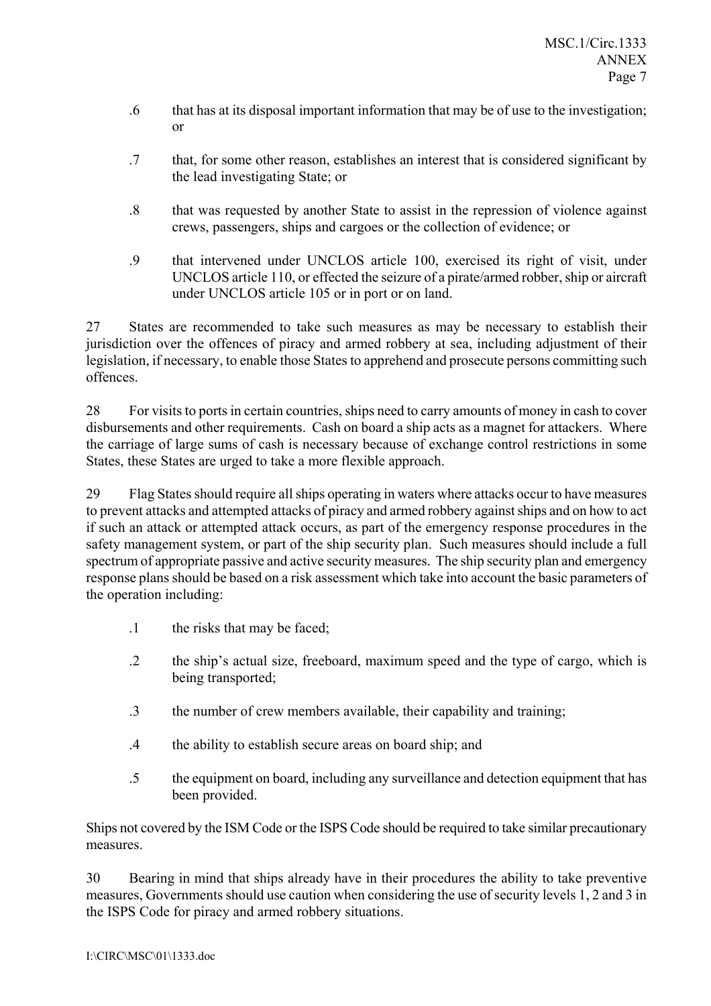- .6 that has at its disposal important information that may be of use to the investigation; or
- .7 that, for some other reason, establishes an interest that is considered significant by the lead investigating State; or
- .8 that was requested by another State to assist in the repression of violence against crews, passengers, ships and cargoes or the collection of evidence; or
- .9 that intervened under UNCLOS article 100, exercised its right of visit, under UNCLOS article 110, or effected the seizure of a pirate/armed robber, ship or aircraft under UNCLOS article 105 or in port or on land.

27 States are recommended to take such measures as may be necessary to establish their jurisdiction over the offences of piracy and armed robbery at sea, including adjustment of their legislation, if necessary, to enable those States to apprehend and prosecute persons committing such offences.

28 For visits to ports in certain countries, ships need to carry amounts of money in cash to cover disbursements and other requirements. Cash on board a ship acts as a magnet for attackers. Where the carriage of large sums of cash is necessary because of exchange control restrictions in some States, these States are urged to take a more flexible approach.

29 Flag States should require all ships operating in waters where attacks occur to have measures to prevent attacks and attempted attacks of piracy and armed robbery against ships and on how to act if such an attack or attempted attack occurs, as part of the emergency response procedures in the safety management system, or part of the ship security plan. Such measures should include a full spectrum of appropriate passive and active security measures. The ship security plan and emergency response plans should be based on a risk assessment which take into account the basic parameters of the operation including:

- .1 the risks that may be faced;
- .2 the shipís actual size, freeboard, maximum speed and the type of cargo, which is being transported;
- .3 the number of crew members available, their capability and training;
- .4 the ability to establish secure areas on board ship; and
- .5 the equipment on board, including any surveillance and detection equipment that has been provided.

Ships not covered by the ISM Code or the ISPS Code should be required to take similar precautionary measures.

30 Bearing in mind that ships already have in their procedures the ability to take preventive measures, Governments should use caution when considering the use of security levels 1, 2 and 3 in the ISPS Code for piracy and armed robbery situations.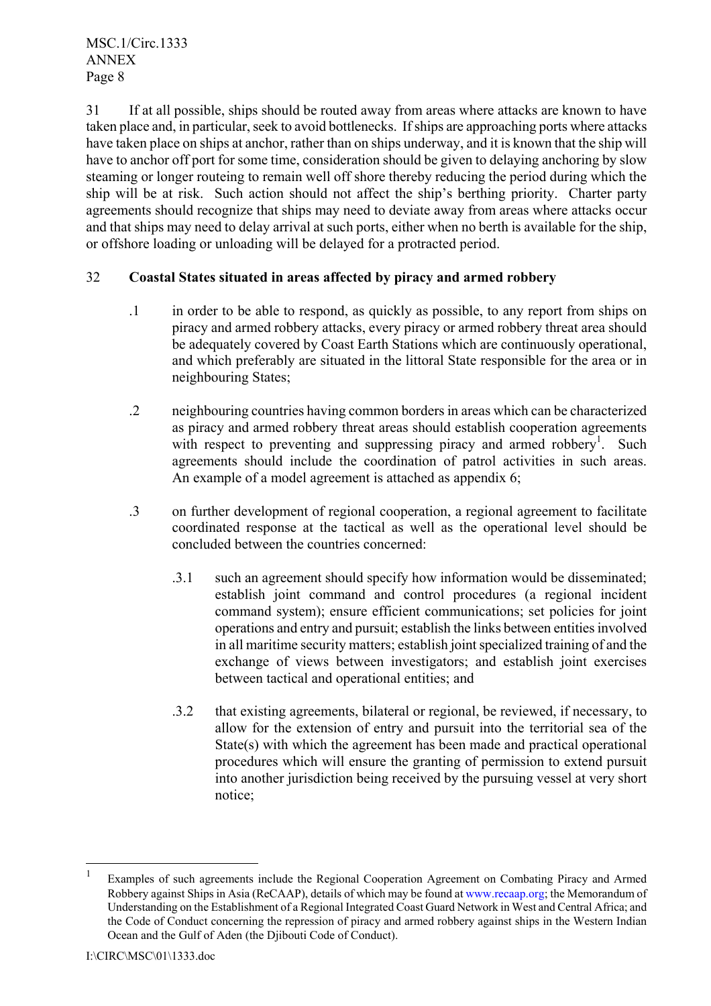31 If at all possible, ships should be routed away from areas where attacks are known to have taken place and, in particular, seek to avoid bottlenecks. If ships are approaching ports where attacks have taken place on ships at anchor, rather than on ships underway, and it is known that the ship will have to anchor off port for some time, consideration should be given to delaying anchoring by slow steaming or longer routeing to remain well off shore thereby reducing the period during which the ship will be at risk. Such action should not affect the ship's berthing priority. Charter party agreements should recognize that ships may need to deviate away from areas where attacks occur and that ships may need to delay arrival at such ports, either when no berth is available for the ship, or offshore loading or unloading will be delayed for a protracted period.

## 32 **Coastal States situated in areas affected by piracy and armed robbery**

- .1 in order to be able to respond, as quickly as possible, to any report from ships on piracy and armed robbery attacks, every piracy or armed robbery threat area should be adequately covered by Coast Earth Stations which are continuously operational, and which preferably are situated in the littoral State responsible for the area or in neighbouring States;
- .2 neighbouring countries having common borders in areas which can be characterized as piracy and armed robbery threat areas should establish cooperation agreements with respect to preventing and suppressing piracy and armed robbery<sup>1</sup>. Such agreements should include the coordination of patrol activities in such areas. An example of a model agreement is attached as appendix 6:
- .3 on further development of regional cooperation, a regional agreement to facilitate coordinated response at the tactical as well as the operational level should be concluded between the countries concerned:
	- .3.1 such an agreement should specify how information would be disseminated; establish joint command and control procedures (a regional incident command system); ensure efficient communications; set policies for joint operations and entry and pursuit; establish the links between entities involved in all maritime security matters; establish joint specialized training of and the exchange of views between investigators; and establish joint exercises between tactical and operational entities; and
	- .3.2 that existing agreements, bilateral or regional, be reviewed, if necessary, to allow for the extension of entry and pursuit into the territorial sea of the State(s) with which the agreement has been made and practical operational procedures which will ensure the granting of permission to extend pursuit into another jurisdiction being received by the pursuing vessel at very short notice;

 $\overline{a}$ 

<sup>1</sup> Examples of such agreements include the Regional Cooperation Agreement on Combating Piracy and Armed Robbery against Ships in Asia (ReCAAP), details of which may be found at www.recaap.org; the Memorandum of Understanding on the Establishment of a Regional Integrated Coast Guard Network in West and Central Africa; and the Code of Conduct concerning the repression of piracy and armed robbery against ships in the Western Indian Ocean and the Gulf of Aden (the Djibouti Code of Conduct).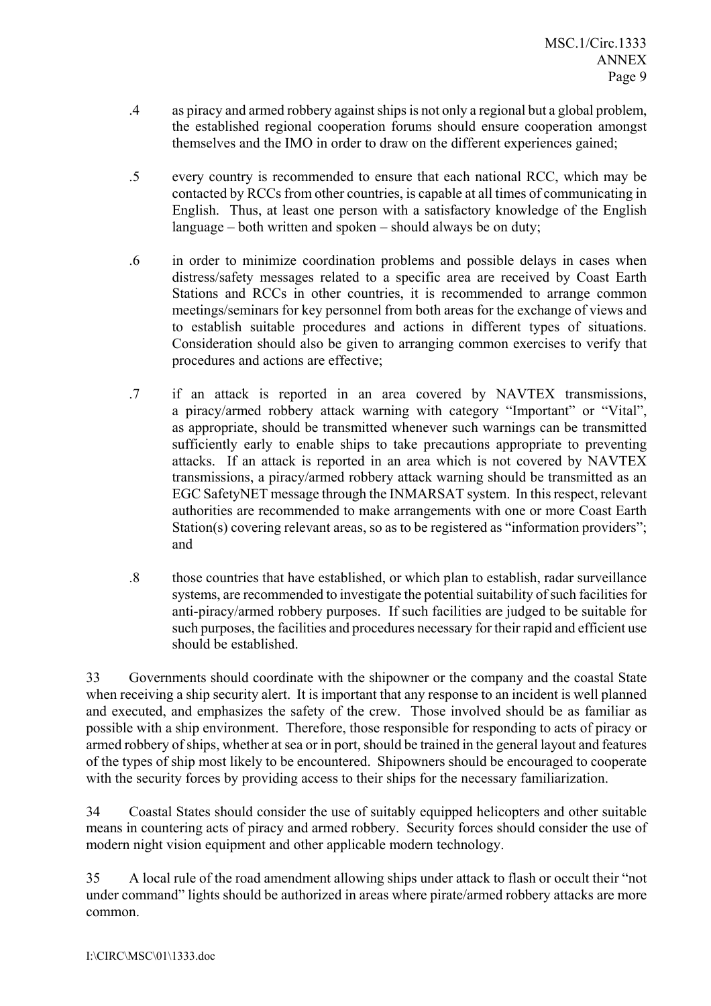- .4 as piracy and armed robbery against ships is not only a regional but a global problem, the established regional cooperation forums should ensure cooperation amongst themselves and the IMO in order to draw on the different experiences gained;
- .5 every country is recommended to ensure that each national RCC, which may be contacted by RCCs from other countries, is capable at all times of communicating in English. Thus, at least one person with a satisfactory knowledge of the English language  $-$  both written and spoken  $-$  should always be on duty;
- .6 in order to minimize coordination problems and possible delays in cases when distress/safety messages related to a specific area are received by Coast Earth Stations and RCCs in other countries, it is recommended to arrange common meetings/seminars for key personnel from both areas for the exchange of views and to establish suitable procedures and actions in different types of situations. Consideration should also be given to arranging common exercises to verify that procedures and actions are effective;
- .7 if an attack is reported in an area covered by NAVTEX transmissions, a piracy/armed robbery attack warning with category "Important" or "Vital", as appropriate, should be transmitted whenever such warnings can be transmitted sufficiently early to enable ships to take precautions appropriate to preventing attacks. If an attack is reported in an area which is not covered by NAVTEX transmissions, a piracy/armed robbery attack warning should be transmitted as an EGC SafetyNET message through the INMARSAT system. In this respect, relevant authorities are recommended to make arrangements with one or more Coast Earth Station(s) covering relevant areas, so as to be registered as "information providers"; and
- .8 those countries that have established, or which plan to establish, radar surveillance systems, are recommended to investigate the potential suitability of such facilities for anti-piracy/armed robbery purposes. If such facilities are judged to be suitable for such purposes, the facilities and procedures necessary for their rapid and efficient use should be established.

33 Governments should coordinate with the shipowner or the company and the coastal State when receiving a ship security alert. It is important that any response to an incident is well planned and executed, and emphasizes the safety of the crew. Those involved should be as familiar as possible with a ship environment. Therefore, those responsible for responding to acts of piracy or armed robbery of ships, whether at sea or in port, should be trained in the general layout and features of the types of ship most likely to be encountered. Shipowners should be encouraged to cooperate with the security forces by providing access to their ships for the necessary familiarization.

34 Coastal States should consider the use of suitably equipped helicopters and other suitable means in countering acts of piracy and armed robbery. Security forces should consider the use of modern night vision equipment and other applicable modern technology.

35 A local rule of the road amendment allowing ships under attack to flash or occult their "not under command" lights should be authorized in areas where pirate/armed robbery attacks are more common.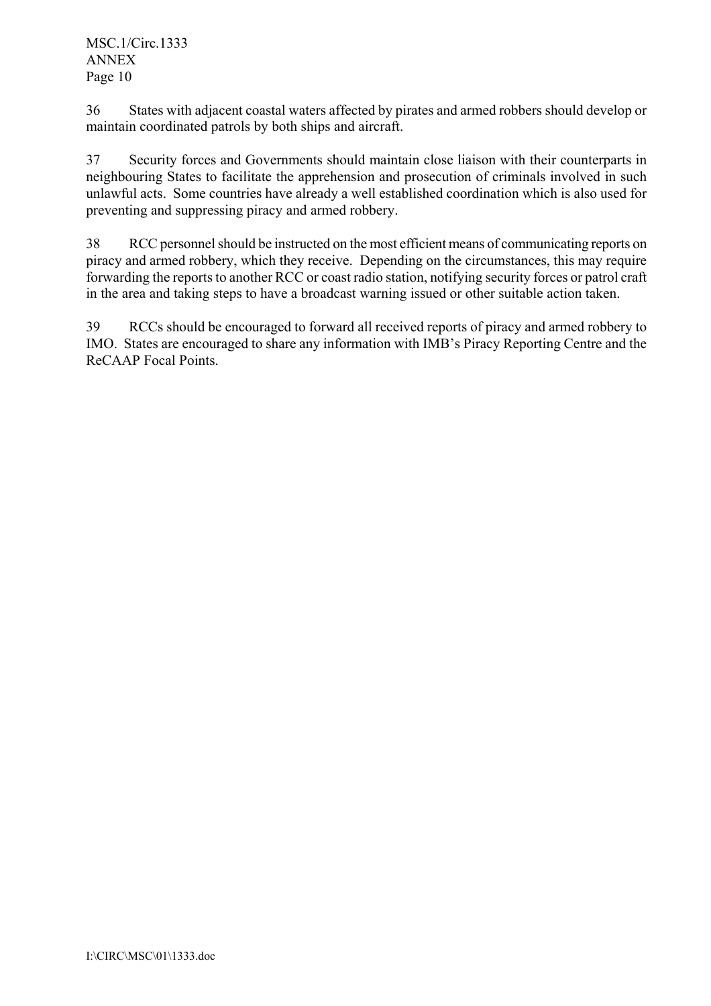36 States with adjacent coastal waters affected by pirates and armed robbers should develop or maintain coordinated patrols by both ships and aircraft.

37 Security forces and Governments should maintain close liaison with their counterparts in neighbouring States to facilitate the apprehension and prosecution of criminals involved in such unlawful acts. Some countries have already a well established coordination which is also used for preventing and suppressing piracy and armed robbery.

38 RCC personnel should be instructed on the most efficient means of communicating reports on piracy and armed robbery, which they receive. Depending on the circumstances, this may require forwarding the reports to another RCC or coast radio station, notifying security forces or patrol craft in the area and taking steps to have a broadcast warning issued or other suitable action taken.

39 RCCs should be encouraged to forward all received reports of piracy and armed robbery to IMO. States are encouraged to share any information with IMB's Piracy Reporting Centre and the ReCAAP Focal Points.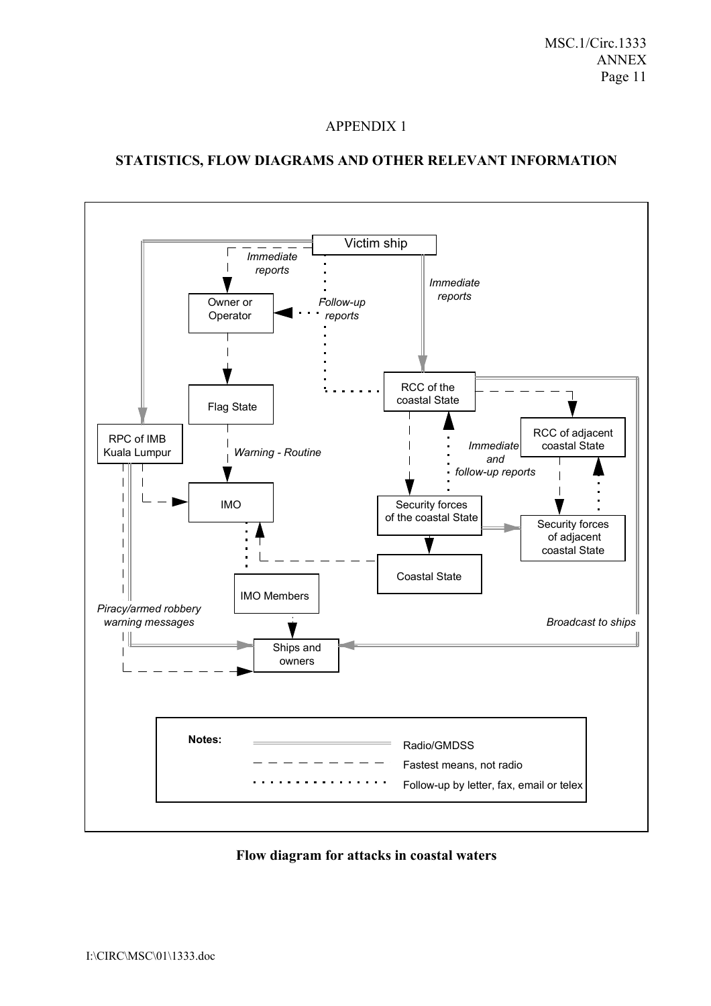## **STATISTICS, FLOW DIAGRAMS AND OTHER RELEVANT INFORMATION**



**Flow diagram for attacks in coastal waters**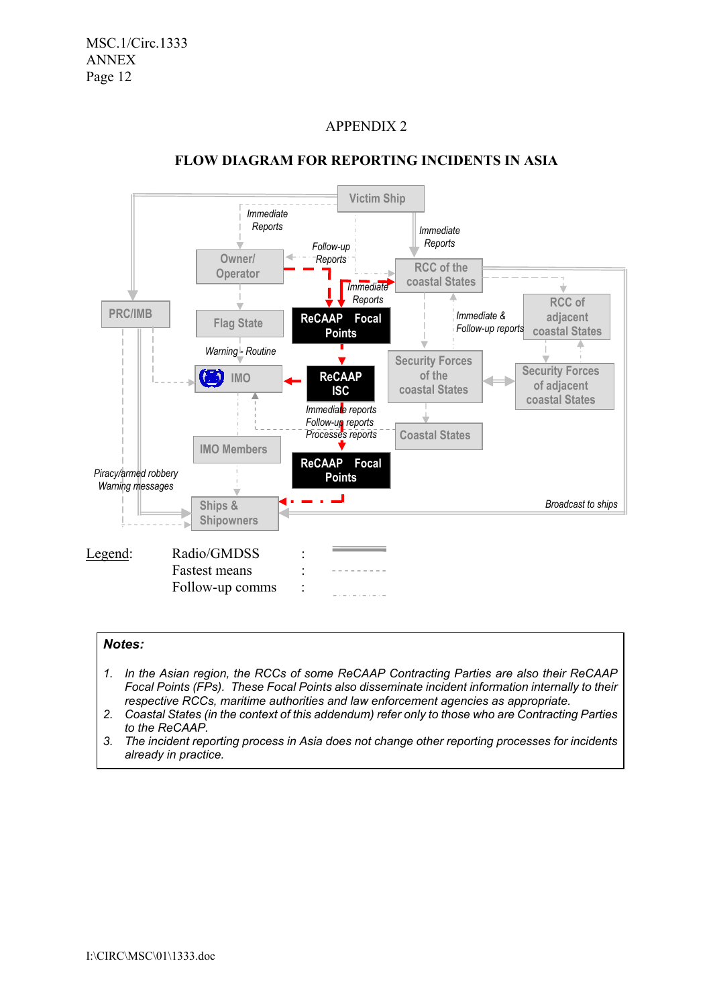

## **FLOW DIAGRAM FOR REPORTING INCIDENTS IN ASIA**

#### *Notes:*

- *1. In the Asian region, the RCCs of some ReCAAP Contracting Parties are also their ReCAAP Focal Points (FPs). These Focal Points also disseminate incident information internally to their respective RCCs, maritime authorities and law enforcement agencies as appropriate.*
- *2. Coastal States (in the context of this addendum) refer only to those who are Contracting Parties to the ReCAAP.*
- *3. The incident reporting process in Asia does not change other reporting processes for incidents already in practice.*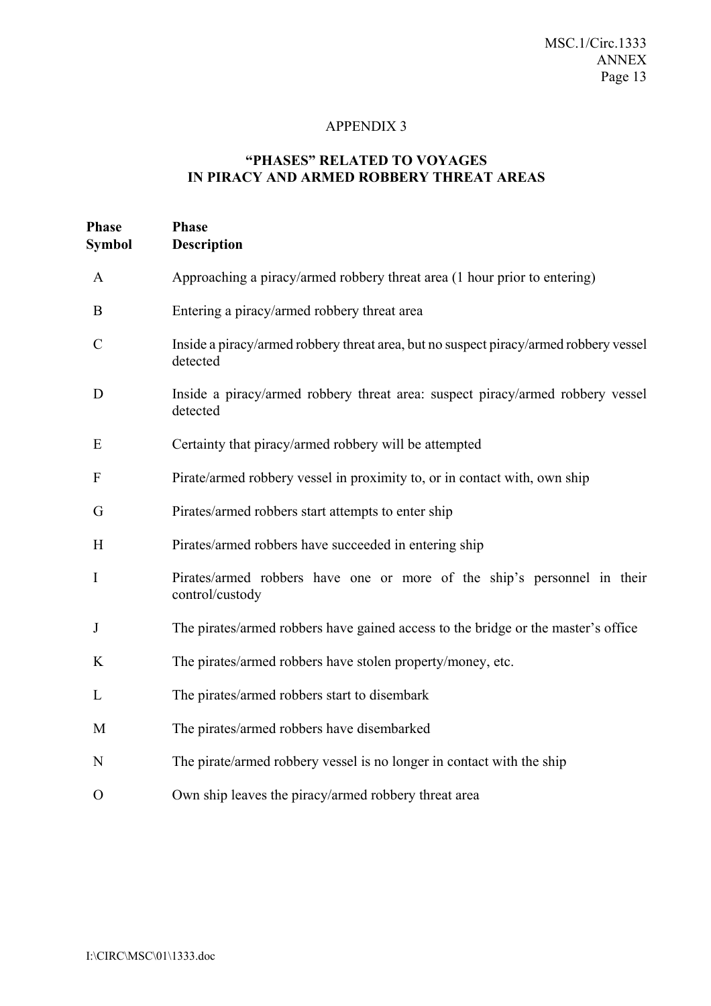# **ìPHASESî RELATED TO VOYAGES IN PIRACY AND ARMED ROBBERY THREAT AREAS**

| Phase<br><b>Symbol</b> | <b>Phase</b><br><b>Description</b>                                                                |
|------------------------|---------------------------------------------------------------------------------------------------|
| $\mathbf{A}$           | Approaching a piracy/armed robbery threat area (1 hour prior to entering)                         |
| B                      | Entering a piracy/armed robbery threat area                                                       |
| $\mathcal{C}$          | Inside a piracy/armed robbery threat area, but no suspect piracy/armed robbery vessel<br>detected |
| D                      | Inside a piracy/armed robbery threat area: suspect piracy/armed robbery vessel<br>detected        |
| E                      | Certainty that piracy/armed robbery will be attempted                                             |
| F                      | Pirate/armed robbery vessel in proximity to, or in contact with, own ship                         |
| G                      | Pirates/armed robbers start attempts to enter ship                                                |
| H                      | Pirates/armed robbers have succeeded in entering ship                                             |
| $\bf{I}$               | Pirates/armed robbers have one or more of the ship's personnel in their<br>control/custody        |
| J                      | The pirates/armed robbers have gained access to the bridge or the master's office                 |
| K                      | The pirates/armed robbers have stolen property/money, etc.                                        |
| L                      | The pirates/armed robbers start to disembark                                                      |
| M                      | The pirates/armed robbers have disembarked                                                        |
| N                      | The pirate/armed robbery vessel is no longer in contact with the ship                             |
| $\mathbf{O}$           | Own ship leaves the piracy/armed robbery threat area                                              |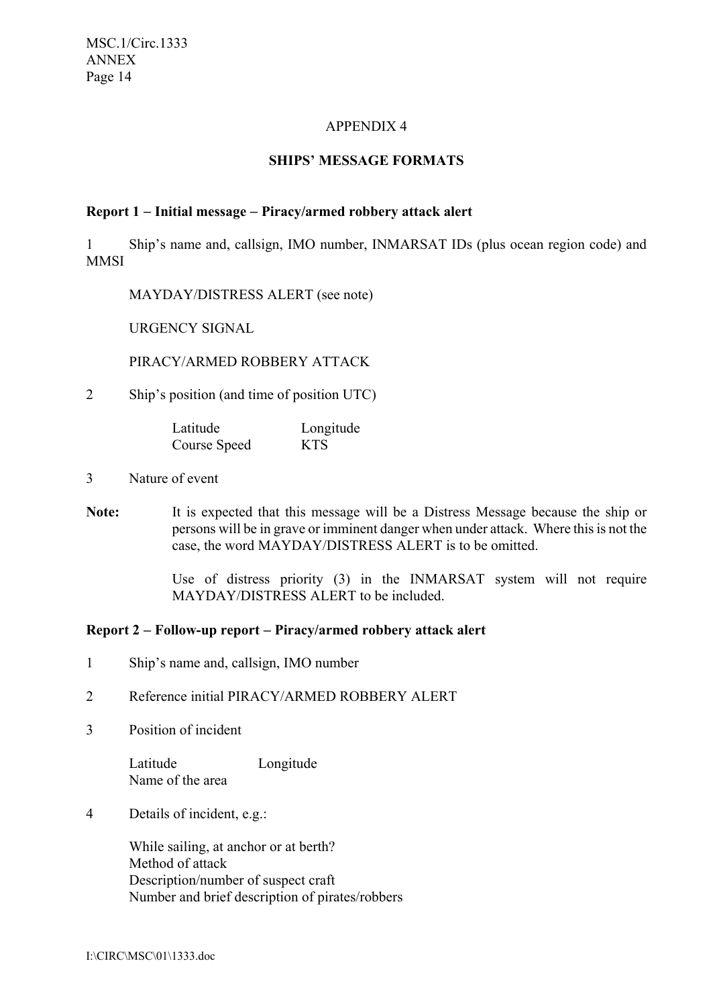## **SHIPS' MESSAGE FORMATS**

### **Report 1** − **Initial message** − **Piracy/armed robbery attack alert**

1 Shipís name and, callsign, IMO number, INMARSAT IDs (plus ocean region code) and **MMSI** 

MAYDAY/DISTRESS ALERT (see note)

URGENCY SIGNAL

PIRACY/ARMED ROBBERY ATTACK

2 Ship's position (and time of position UTC)

Latitude Longitude Course Speed KTS

- 3 Nature of event
- **Note:** It is expected that this message will be a Distress Message because the ship or persons will be in grave or imminent danger when under attack. Where this is not the case, the word MAYDAY/DISTRESS ALERT is to be omitted.

Use of distress priority (3) in the INMARSAT system will not require MAYDAY/DISTRESS ALERT to be included.

#### **Report 2** − **Follow-up report** − **Piracy/armed robbery attack alert**

- 1 Ship's name and, callsign, IMO number
- 2 Reference initial PIRACY/ARMED ROBBERY ALERT
- 3 Position of incident

Latitude Longitude Name of the area

4 Details of incident, e.g.:

While sailing, at anchor or at berth? Method of attack Description/number of suspect craft Number and brief description of pirates/robbers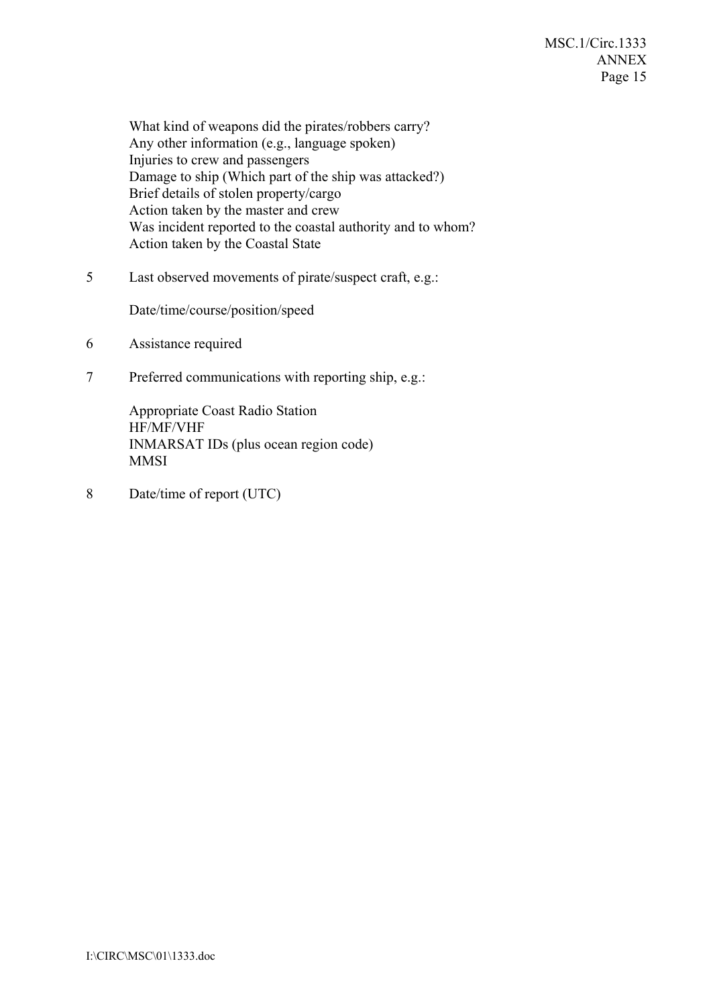What kind of weapons did the pirates/robbers carry? Any other information (e.g., language spoken) Injuries to crew and passengers Damage to ship (Which part of the ship was attacked?) Brief details of stolen property/cargo Action taken by the master and crew Was incident reported to the coastal authority and to whom? Action taken by the Coastal State

5 Last observed movements of pirate/suspect craft, e.g.:

Date/time/course/position/speed

- 6 Assistance required
- 7 Preferred communications with reporting ship, e.g.:

Appropriate Coast Radio Station HF/MF/VHF INMARSAT IDs (plus ocean region code) MMSI

8 Date/time of report (UTC)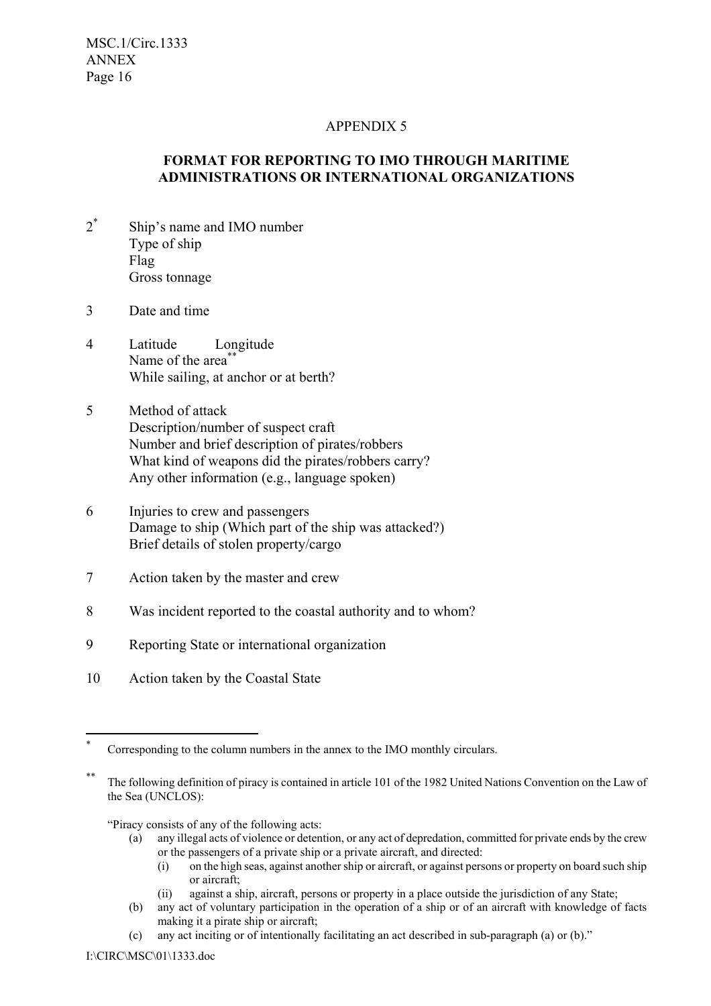## APPENDIX 5

## **FORMAT FOR REPORTING TO IMO THROUGH MARITIME ADMINISTRATIONS OR INTERNATIONAL ORGANIZATIONS**

- $2^*$ Ship's name and IMO number Type of ship Flag Gross tonnage
- 3 Date and time
- 4 Latitude Longitude Name of the area<sup>\*\*</sup> While sailing, at anchor or at berth?
- 5 Method of attack Description/number of suspect craft Number and brief description of pirates/robbers What kind of weapons did the pirates/robbers carry? Any other information (e.g., language spoken)
- 6 Injuries to crew and passengers Damage to ship (Which part of the ship was attacked?) Brief details of stolen property/cargo
- 7 Action taken by the master and crew
- 8 Was incident reported to the coastal authority and to whom?
- 9 Reporting State or international organization
- 10 Action taken by the Coastal State

#### ìPiracy consists of any of the following acts:

- (a) any illegal acts of violence or detention, or any act of depredation, committed for private ends by the crew or the passengers of a private ship or a private aircraft, and directed:
	- (i) on the high seas, against another ship or aircraft, or against persons or property on board such ship or aircraft;
	- (ii) against a ship, aircraft, persons or property in a place outside the jurisdiction of any State;

(c) any act inciting or of intentionally facilitating an act described in sub-paragraph (a) or  $(b)$ ."

 $\overline{a}$ 

Corresponding to the column numbers in the annex to the IMO monthly circulars.

The following definition of piracy is contained in article 101 of the 1982 United Nations Convention on the Law of the Sea (UNCLOS):

<sup>(</sup>b) any act of voluntary participation in the operation of a ship or of an aircraft with knowledge of facts making it a pirate ship or aircraft;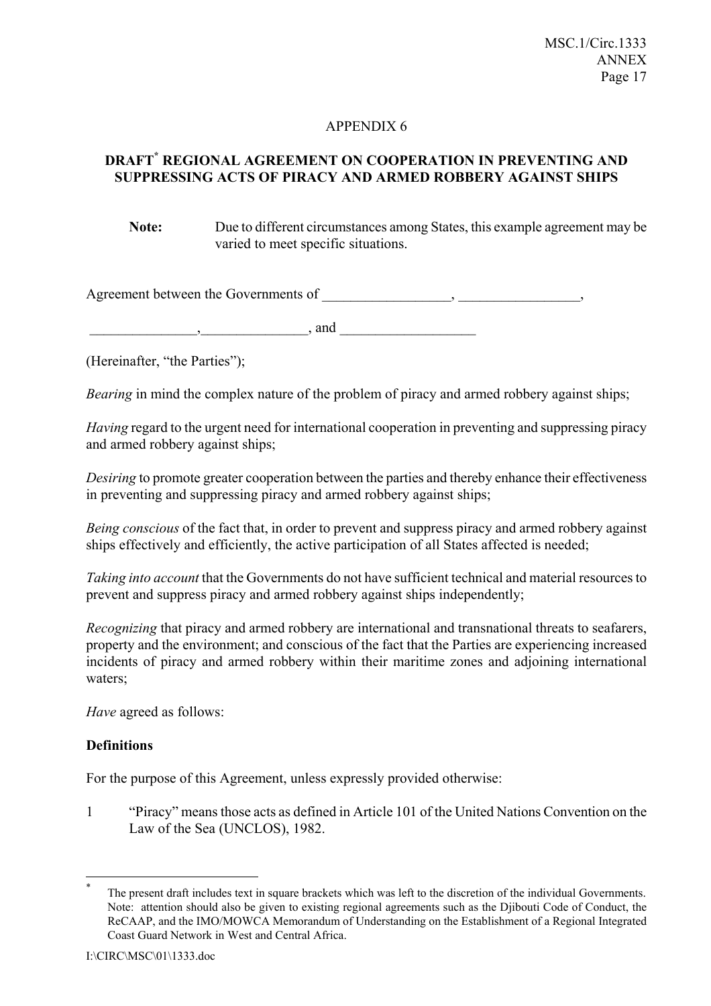## **DRAFT\* REGIONAL AGREEMENT ON COOPERATION IN PREVENTING AND SUPPRESSING ACTS OF PIRACY AND ARMED ROBBERY AGAINST SHIPS**

**Note:** Due to different circumstances among States, this example agreement may be varied to meet specific situations.

Agreement between the Governments of \_\_\_\_\_\_\_\_\_\_\_\_\_\_\_\_\_\_, \_\_\_\_\_\_\_\_\_\_\_\_\_\_\_\_\_,

\_\_\_\_\_\_\_\_\_\_\_\_\_\_\_,\_\_\_\_\_\_\_\_\_\_\_\_\_\_\_, and \_\_\_\_\_\_\_\_\_\_\_\_\_\_\_\_\_\_\_

(Hereinafter, "the Parties");

*Bearing* in mind the complex nature of the problem of piracy and armed robbery against ships;

*Having* regard to the urgent need for international cooperation in preventing and suppressing piracy and armed robbery against ships;

*Desiring* to promote greater cooperation between the parties and thereby enhance their effectiveness in preventing and suppressing piracy and armed robbery against ships;

*Being conscious* of the fact that, in order to prevent and suppress piracy and armed robbery against ships effectively and efficiently, the active participation of all States affected is needed;

*Taking into account* that the Governments do not have sufficient technical and material resources to prevent and suppress piracy and armed robbery against ships independently;

*Recognizing* that piracy and armed robbery are international and transnational threats to seafarers, property and the environment; and conscious of the fact that the Parties are experiencing increased incidents of piracy and armed robbery within their maritime zones and adjoining international waters:

*Have* agreed as follows:

## **Definitions**

 $\overline{a}$ 

For the purpose of this Agreement, unless expressly provided otherwise:

<sup>1</sup>Piracy" means those acts as defined in Article 101 of the United Nations Convention on the Law of the Sea (UNCLOS), 1982.

The present draft includes text in square brackets which was left to the discretion of the individual Governments. Note: attention should also be given to existing regional agreements such as the Djibouti Code of Conduct, the ReCAAP, and the IMO/MOWCA Memorandum of Understanding on the Establishment of a Regional Integrated Coast Guard Network in West and Central Africa.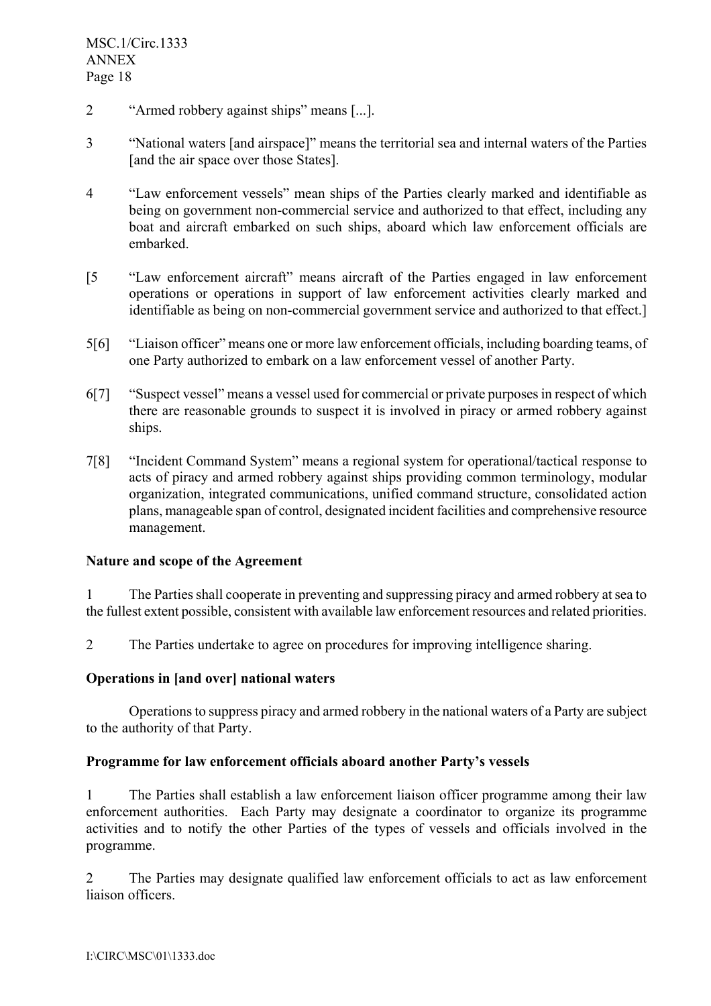- <sup>2</sup> <sup>"Armed</sup> robbery against ships" means [...].
- 3 <sup>3</sup> "National waters [and airspace]" means the territorial sea and internal waters of the Parties [and the air space over those States].
- <sup>4</sup> <sup>4</sup>Law enforcement vessels" mean ships of the Parties clearly marked and identifiable as being on government non-commercial service and authorized to that effect, including any boat and aircraft embarked on such ships, aboard which law enforcement officials are embarked.
- [5 <sup>21</sup>] <sup>ext</sup> Caw enforcement aircraft<sup>\*</sup> means aircraft of the Parties engaged in law enforcement operations or operations in support of law enforcement activities clearly marked and identifiable as being on non-commercial government service and authorized to that effect.]
- 5[6] "Liaison officer" means one or more law enforcement officials, including boarding teams, of one Party authorized to embark on a law enforcement vessel of another Party.
- 6[7] "Suspect vessel" means a vessel used for commercial or private purposes in respect of which there are reasonable grounds to suspect it is involved in piracy or armed robbery against ships.
- 7[8] "Incident Command System" means a regional system for operational/tactical response to acts of piracy and armed robbery against ships providing common terminology, modular organization, integrated communications, unified command structure, consolidated action plans, manageable span of control, designated incident facilities and comprehensive resource management.

## **Nature and scope of the Agreement**

1 The Parties shall cooperate in preventing and suppressing piracy and armed robbery at sea to the fullest extent possible, consistent with available law enforcement resources and related priorities.

2 The Parties undertake to agree on procedures for improving intelligence sharing.

#### **Operations in [and over] national waters**

Operations to suppress piracy and armed robbery in the national waters of a Party are subject to the authority of that Party.

#### Programme for law enforcement officials aboard another Party's vessels

1 The Parties shall establish a law enforcement liaison officer programme among their law enforcement authorities. Each Party may designate a coordinator to organize its programme activities and to notify the other Parties of the types of vessels and officials involved in the programme.

2 The Parties may designate qualified law enforcement officials to act as law enforcement liaison officers.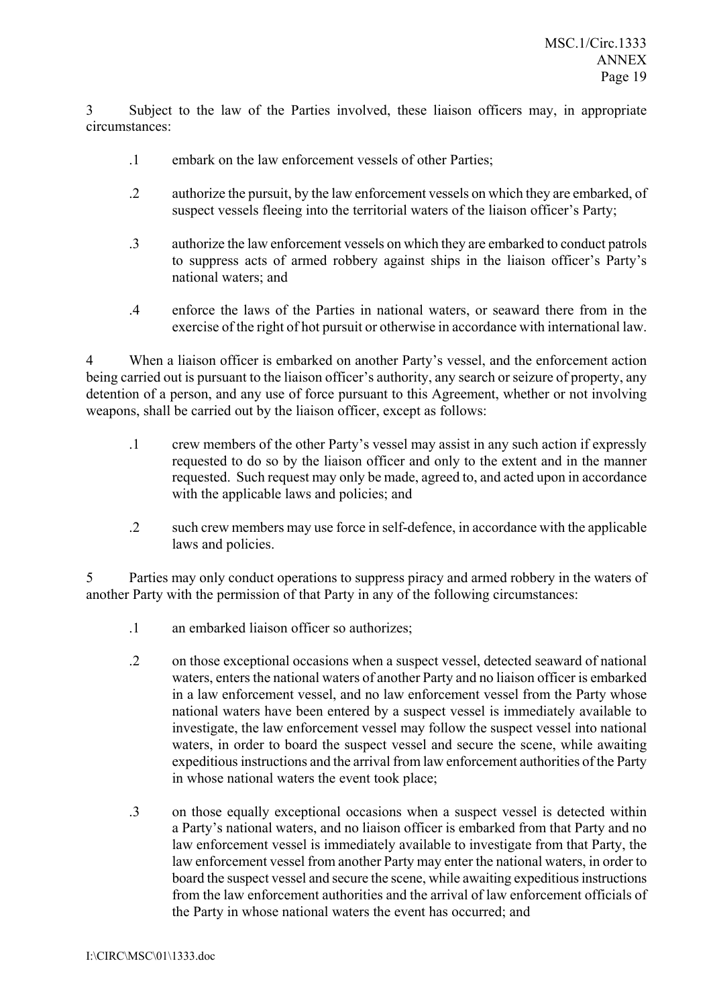3 Subject to the law of the Parties involved, these liaison officers may, in appropriate circumstances:

- .1 embark on the law enforcement vessels of other Parties;
- .2 authorize the pursuit, by the law enforcement vessels on which they are embarked, of suspect vessels fleeing into the territorial waters of the liaison officer's Party;
- .3 authorize the law enforcement vessels on which they are embarked to conduct patrols to suppress acts of armed robbery against ships in the liaison officer's Party's national waters; and
- .4 enforce the laws of the Parties in national waters, or seaward there from in the exercise of the right of hot pursuit or otherwise in accordance with international law.

4 When a liaison officer is embarked on another Partyís vessel, and the enforcement action being carried out is pursuant to the liaison officer's authority, any search or seizure of property, any detention of a person, and any use of force pursuant to this Agreement, whether or not involving weapons, shall be carried out by the liaison officer, except as follows:

- .1 crew members of the other Partyís vessel may assist in any such action if expressly requested to do so by the liaison officer and only to the extent and in the manner requested. Such request may only be made, agreed to, and acted upon in accordance with the applicable laws and policies; and
- .2 such crew members may use force in self-defence, in accordance with the applicable laws and policies.

5 Parties may only conduct operations to suppress piracy and armed robbery in the waters of another Party with the permission of that Party in any of the following circumstances:

- .1 an embarked liaison officer so authorizes;
- .2 on those exceptional occasions when a suspect vessel, detected seaward of national waters, enters the national waters of another Party and no liaison officer is embarked in a law enforcement vessel, and no law enforcement vessel from the Party whose national waters have been entered by a suspect vessel is immediately available to investigate, the law enforcement vessel may follow the suspect vessel into national waters, in order to board the suspect vessel and secure the scene, while awaiting expeditious instructions and the arrival from law enforcement authorities of the Party in whose national waters the event took place;
- .3 on those equally exceptional occasions when a suspect vessel is detected within a Party's national waters, and no liaison officer is embarked from that Party and no law enforcement vessel is immediately available to investigate from that Party, the law enforcement vessel from another Party may enter the national waters, in order to board the suspect vessel and secure the scene, while awaiting expeditious instructions from the law enforcement authorities and the arrival of law enforcement officials of the Party in whose national waters the event has occurred; and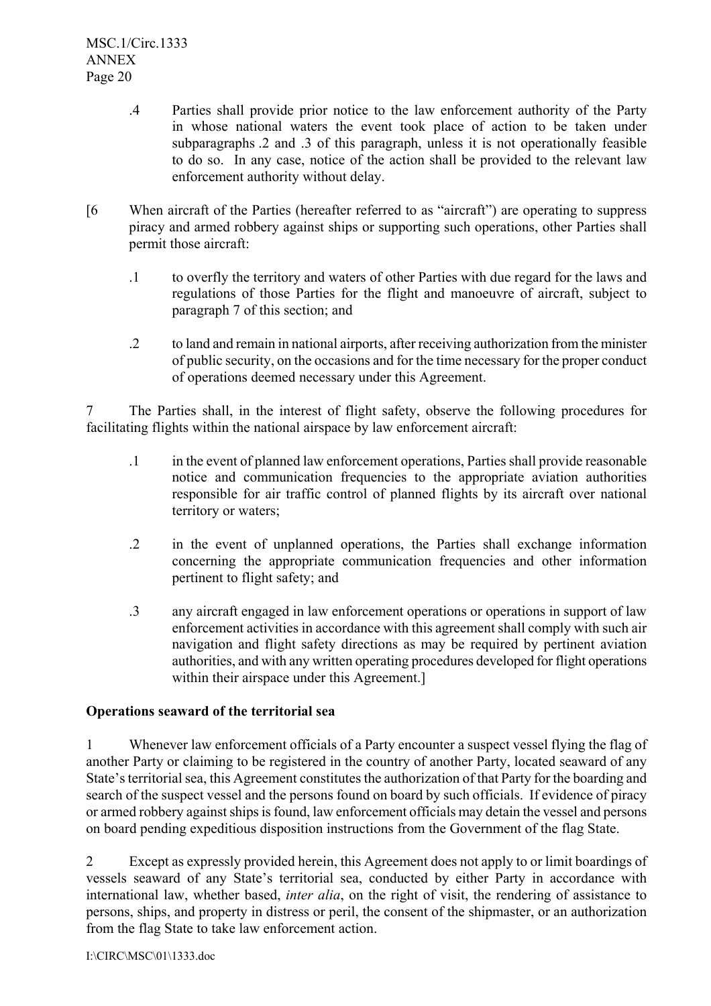- .4 Parties shall provide prior notice to the law enforcement authority of the Party in whose national waters the event took place of action to be taken under subparagraphs .2 and .3 of this paragraph, unless it is not operationally feasible to do so. In any case, notice of the action shall be provided to the relevant law enforcement authority without delay.
- $[6]$  When aircraft of the Parties (hereafter referred to as "aircraft") are operating to suppress piracy and armed robbery against ships or supporting such operations, other Parties shall permit those aircraft:
	- .1 to overfly the territory and waters of other Parties with due regard for the laws and regulations of those Parties for the flight and manoeuvre of aircraft, subject to paragraph 7 of this section; and
	- .2 to land and remain in national airports, after receiving authorization from the minister of public security, on the occasions and for the time necessary for the proper conduct of operations deemed necessary under this Agreement.

7 The Parties shall, in the interest of flight safety, observe the following procedures for facilitating flights within the national airspace by law enforcement aircraft:

- .1 in the event of planned law enforcement operations, Parties shall provide reasonable notice and communication frequencies to the appropriate aviation authorities responsible for air traffic control of planned flights by its aircraft over national territory or waters;
- .2 in the event of unplanned operations, the Parties shall exchange information concerning the appropriate communication frequencies and other information pertinent to flight safety; and
- .3 any aircraft engaged in law enforcement operations or operations in support of law enforcement activities in accordance with this agreement shall comply with such air navigation and flight safety directions as may be required by pertinent aviation authorities, and with any written operating procedures developed for flight operations within their airspace under this Agreement.

## **Operations seaward of the territorial sea**

1 Whenever law enforcement officials of a Party encounter a suspect vessel flying the flag of another Party or claiming to be registered in the country of another Party, located seaward of any State's territorial sea, this Agreement constitutes the authorization of that Party for the boarding and search of the suspect vessel and the persons found on board by such officials. If evidence of piracy or armed robbery against ships is found, law enforcement officials may detain the vessel and persons on board pending expeditious disposition instructions from the Government of the flag State.

2 Except as expressly provided herein, this Agreement does not apply to or limit boardings of vessels seaward of any State's territorial sea, conducted by either Party in accordance with international law, whether based, *inter alia*, on the right of visit, the rendering of assistance to persons, ships, and property in distress or peril, the consent of the shipmaster, or an authorization from the flag State to take law enforcement action.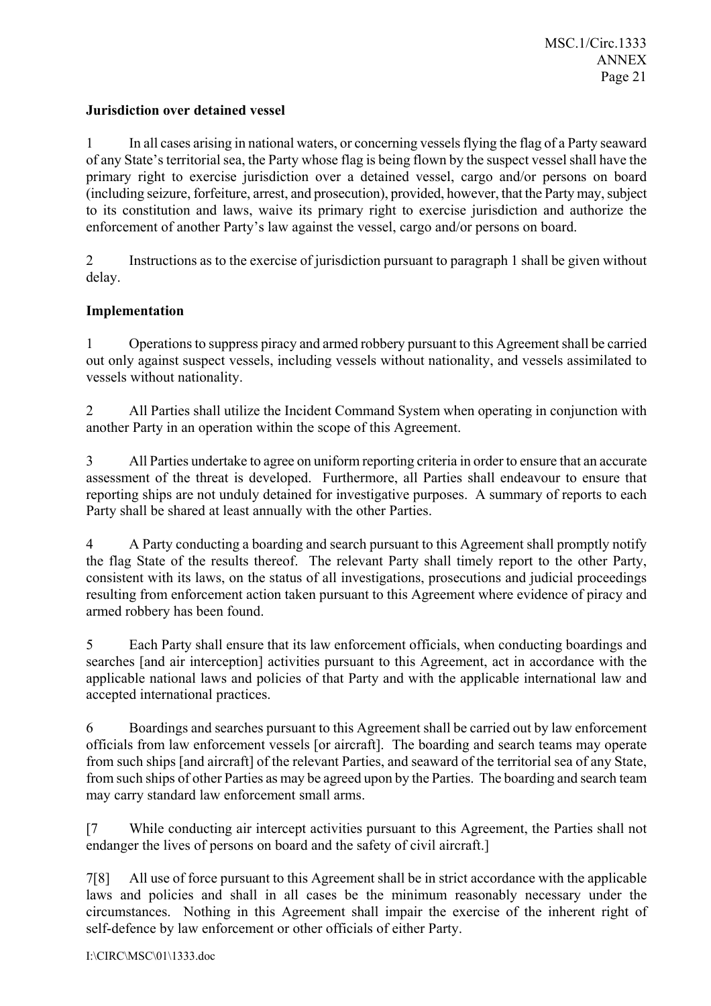## **Jurisdiction over detained vessel**

1 In all cases arising in national waters, or concerning vessels flying the flag of a Party seaward of any State's territorial sea, the Party whose flag is being flown by the suspect vessel shall have the primary right to exercise jurisdiction over a detained vessel, cargo and/or persons on board (including seizure, forfeiture, arrest, and prosecution), provided, however, that the Party may, subject to its constitution and laws, waive its primary right to exercise jurisdiction and authorize the enforcement of another Party's law against the vessel, cargo and/or persons on board.

2 Instructions as to the exercise of jurisdiction pursuant to paragraph 1 shall be given without delay.

## **Implementation**

1 Operations to suppress piracy and armed robbery pursuant to this Agreement shall be carried out only against suspect vessels, including vessels without nationality, and vessels assimilated to vessels without nationality.

2 All Parties shall utilize the Incident Command System when operating in conjunction with another Party in an operation within the scope of this Agreement.

3 All Parties undertake to agree on uniform reporting criteria in order to ensure that an accurate assessment of the threat is developed. Furthermore, all Parties shall endeavour to ensure that reporting ships are not unduly detained for investigative purposes. A summary of reports to each Party shall be shared at least annually with the other Parties.

4 A Party conducting a boarding and search pursuant to this Agreement shall promptly notify the flag State of the results thereof. The relevant Party shall timely report to the other Party, consistent with its laws, on the status of all investigations, prosecutions and judicial proceedings resulting from enforcement action taken pursuant to this Agreement where evidence of piracy and armed robbery has been found.

5 Each Party shall ensure that its law enforcement officials, when conducting boardings and searches [and air interception] activities pursuant to this Agreement, act in accordance with the applicable national laws and policies of that Party and with the applicable international law and accepted international practices.

6 Boardings and searches pursuant to this Agreement shall be carried out by law enforcement officials from law enforcement vessels [or aircraft]. The boarding and search teams may operate from such ships [and aircraft] of the relevant Parties, and seaward of the territorial sea of any State, from such ships of other Parties as may be agreed upon by the Parties. The boarding and search team may carry standard law enforcement small arms.

[7 While conducting air intercept activities pursuant to this Agreement, the Parties shall not endanger the lives of persons on board and the safety of civil aircraft.]

7[8] All use of force pursuant to this Agreement shall be in strict accordance with the applicable laws and policies and shall in all cases be the minimum reasonably necessary under the circumstances. Nothing in this Agreement shall impair the exercise of the inherent right of self-defence by law enforcement or other officials of either Party.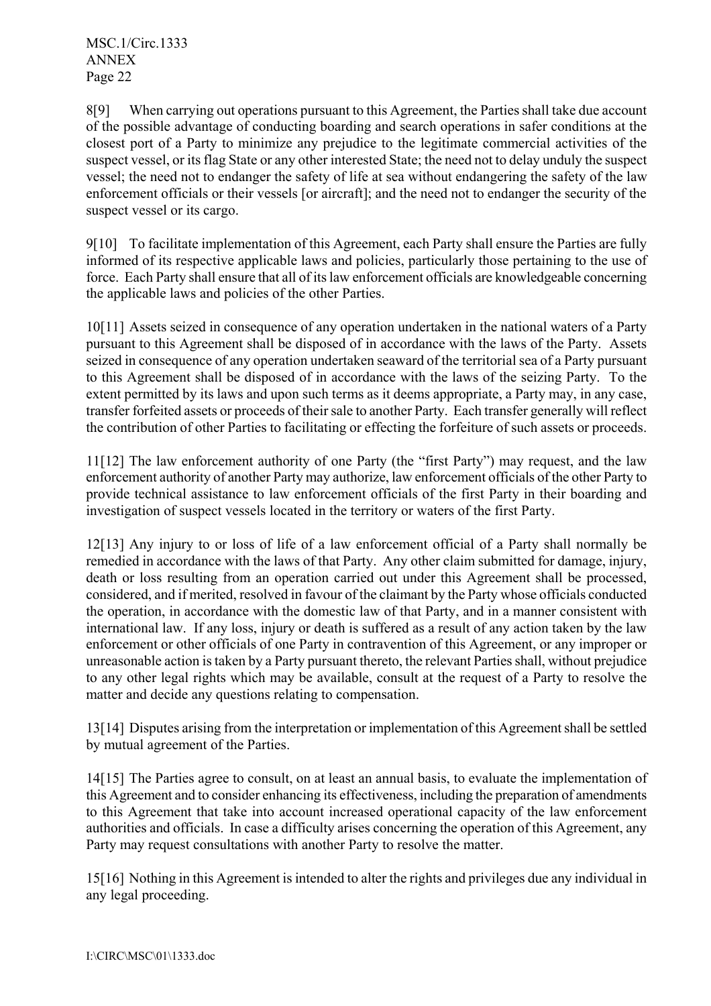8[9] When carrying out operations pursuant to this Agreement, the Parties shall take due account of the possible advantage of conducting boarding and search operations in safer conditions at the closest port of a Party to minimize any prejudice to the legitimate commercial activities of the suspect vessel, or its flag State or any other interested State; the need not to delay unduly the suspect vessel; the need not to endanger the safety of life at sea without endangering the safety of the law enforcement officials or their vessels [or aircraft]; and the need not to endanger the security of the suspect vessel or its cargo.

9[10] To facilitate implementation of this Agreement, each Party shall ensure the Parties are fully informed of its respective applicable laws and policies, particularly those pertaining to the use of force. Each Party shall ensure that all of its law enforcement officials are knowledgeable concerning the applicable laws and policies of the other Parties.

10[11] Assets seized in consequence of any operation undertaken in the national waters of a Party pursuant to this Agreement shall be disposed of in accordance with the laws of the Party. Assets seized in consequence of any operation undertaken seaward of the territorial sea of a Party pursuant to this Agreement shall be disposed of in accordance with the laws of the seizing Party. To the extent permitted by its laws and upon such terms as it deems appropriate, a Party may, in any case, transfer forfeited assets or proceeds of their sale to another Party. Each transfer generally will reflect the contribution of other Parties to facilitating or effecting the forfeiture of such assets or proceeds.

11[12] The law enforcement authority of one Party (the "first Party") may request, and the law enforcement authority of another Party may authorize, law enforcement officials of the other Party to provide technical assistance to law enforcement officials of the first Party in their boarding and investigation of suspect vessels located in the territory or waters of the first Party.

12[13] Any injury to or loss of life of a law enforcement official of a Party shall normally be remedied in accordance with the laws of that Party. Any other claim submitted for damage, injury, death or loss resulting from an operation carried out under this Agreement shall be processed, considered, and if merited, resolved in favour of the claimant by the Party whose officials conducted the operation, in accordance with the domestic law of that Party, and in a manner consistent with international law. If any loss, injury or death is suffered as a result of any action taken by the law enforcement or other officials of one Party in contravention of this Agreement, or any improper or unreasonable action is taken by a Party pursuant thereto, the relevant Parties shall, without prejudice to any other legal rights which may be available, consult at the request of a Party to resolve the matter and decide any questions relating to compensation.

13[14] Disputes arising from the interpretation or implementation of this Agreement shall be settled by mutual agreement of the Parties.

14[15] The Parties agree to consult, on at least an annual basis, to evaluate the implementation of this Agreement and to consider enhancing its effectiveness, including the preparation of amendments to this Agreement that take into account increased operational capacity of the law enforcement authorities and officials. In case a difficulty arises concerning the operation of this Agreement, any Party may request consultations with another Party to resolve the matter.

15[16] Nothing in this Agreement is intended to alter the rights and privileges due any individual in any legal proceeding.